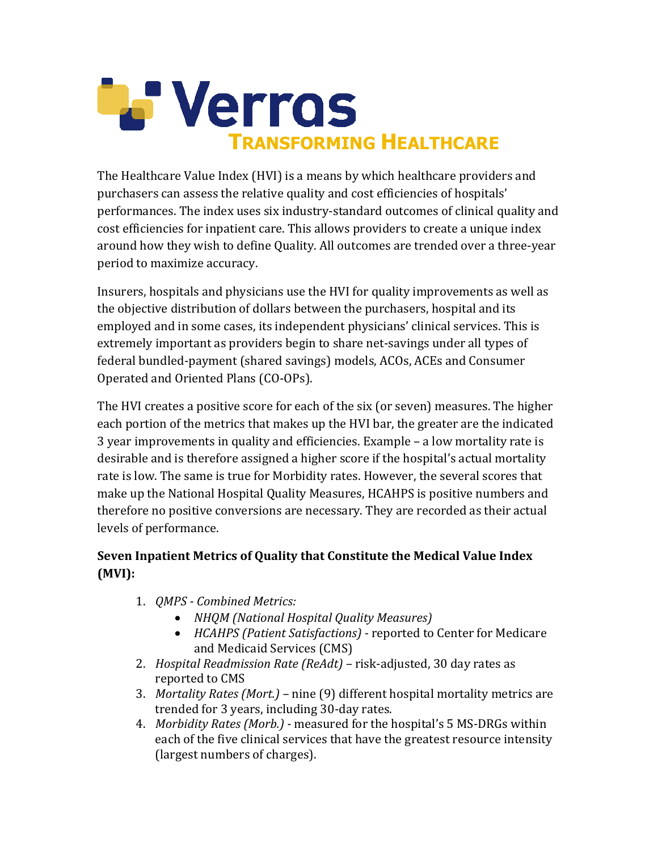

The Healthcare Value Index (HVI) is a means by which healthcare providers and purchasers can assess the relative quality and cost efficiencies of hospitals' performances. The index uses six industry-standard outcomes of clinical quality and cost efficiencies for inpatient care. This allows providers to create a unique index around how they wish to define Quality. All outcomes are trended over a three-year period to maximize accuracy.

Insurers, hospitals and physicians use the HVI for quality improvements as well as the objective distribution of dollars between the purchasers, hospital and its employed and in some cases, its independent physicians' clinical services. This is extremely important as providers begin to share net-savings under all types of federal bundled-payment (shared savings) models, ACOs, ACEs and Consumer Operated and Oriented Plans (CO-OPs).

The HVI creates a positive score for each of the six (or seven) measures. The higher each portion of the metrics that makes up the HVI bar, the greater are the indicated  $3$  year improvements in quality and efficiencies. Example  $-$  a low mortality rate is desirable and is therefore assigned a higher score if the hospital's actual mortality rate is low. The same is true for Morbidity rates. However, the several scores that make up the National Hospital Quality Measures, HCAHPS is positive numbers and therefore no positive conversions are necessary. They are recorded as their actual levels of performance.

## **Seven Inpatient Metrics of Quality that Constitute the Medical Value Index (MVI):**

- 1. *QMPS Combined Metrics:* 
	- *NHQM (National Hospital Quality Measures)*
	- *HCAHPS (Patient Satisfactions)* reported to Center for Medicare and Medicaid Services (CMS)
- 2. *Hospital Readmission Rate (ReAdt)* risk-adjusted, 30 day rates as reported to CMS
- 3. *Mortality Rates (Mort.)* nine (9) different hospital mortality metrics are trended for 3 years, including 30-day rates.
- 4. *Morbidity Rates (Morb.)* measured for the hospital's 5 MS-DRGs within each of the five clinical services that have the greatest resource intensity (largest numbers of charges).